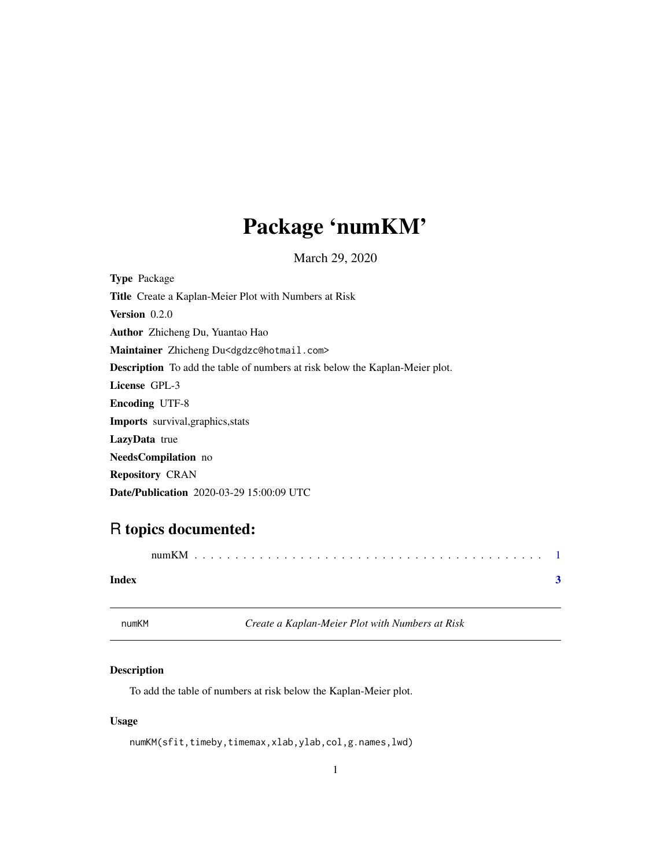## <span id="page-0-0"></span>Package 'numKM'

March 29, 2020

| <b>Type Package</b>                                                                 |
|-------------------------------------------------------------------------------------|
| Title Create a Kaplan-Meier Plot with Numbers at Risk                               |
| <b>Version</b> $0.2.0$                                                              |
| <b>Author</b> Zhicheng Du, Yuantao Hao                                              |
| Maintainer Zhicheng Du <dgdzc@hotmail.com></dgdzc@hotmail.com>                      |
| <b>Description</b> To add the table of numbers at risk below the Kaplan-Meier plot. |
| License GPL-3                                                                       |
| <b>Encoding UTF-8</b>                                                               |
| <b>Imports</b> survival, graphics, stats                                            |
| <b>LazyData</b> true                                                                |
| <b>NeedsCompilation</b> no                                                          |
| <b>Repository CRAN</b>                                                              |
| <b>Date/Publication</b> 2020-03-29 15:00:09 UTC                                     |

### R topics documented:

|       | numKM |  |
|-------|-------|--|
| Index |       |  |

numKM *Create a Kaplan-Meier Plot with Numbers at Risk*

### Description

To add the table of numbers at risk below the Kaplan-Meier plot.

#### Usage

numKM(sfit,timeby,timemax,xlab,ylab,col,g.names,lwd)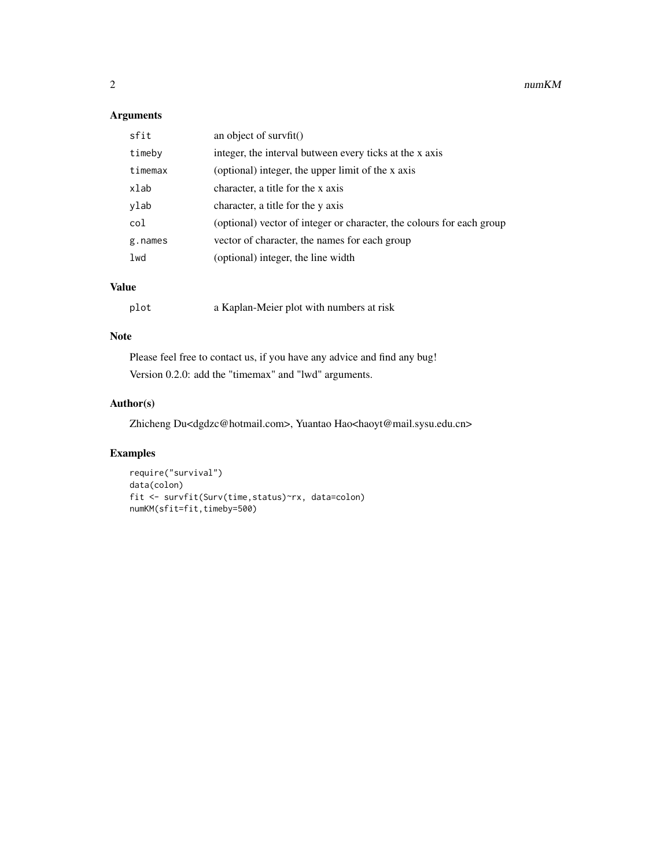#### Arguments

| sfit    | an object of survfit $()$                                             |
|---------|-----------------------------------------------------------------------|
| timeby  | integer, the interval butween every ticks at the x axis               |
| timemax | (optional) integer, the upper limit of the x axis                     |
| xlab    | character, a title for the x axis                                     |
| ylab    | character, a title for the y axis                                     |
| col     | (optional) vector of integer or character, the colours for each group |
| g.names | vector of character, the names for each group                         |
| lwd     | (optional) integer, the line width                                    |
|         |                                                                       |

#### Value

| plot | a Kaplan-Meier plot with numbers at risk |  |
|------|------------------------------------------|--|
|------|------------------------------------------|--|

#### Note

Please feel free to contact us, if you have any advice and find any bug! Version 0.2.0: add the "timemax" and "lwd" arguments.

#### Author(s)

Zhicheng Du<dgdzc@hotmail.com>, Yuantao Hao<haoyt@mail.sysu.edu.cn>

#### Examples

```
require("survival")
data(colon)
fit <- survfit(Surv(time,status)~rx, data=colon)
numKM(sfit=fit,timeby=500)
```